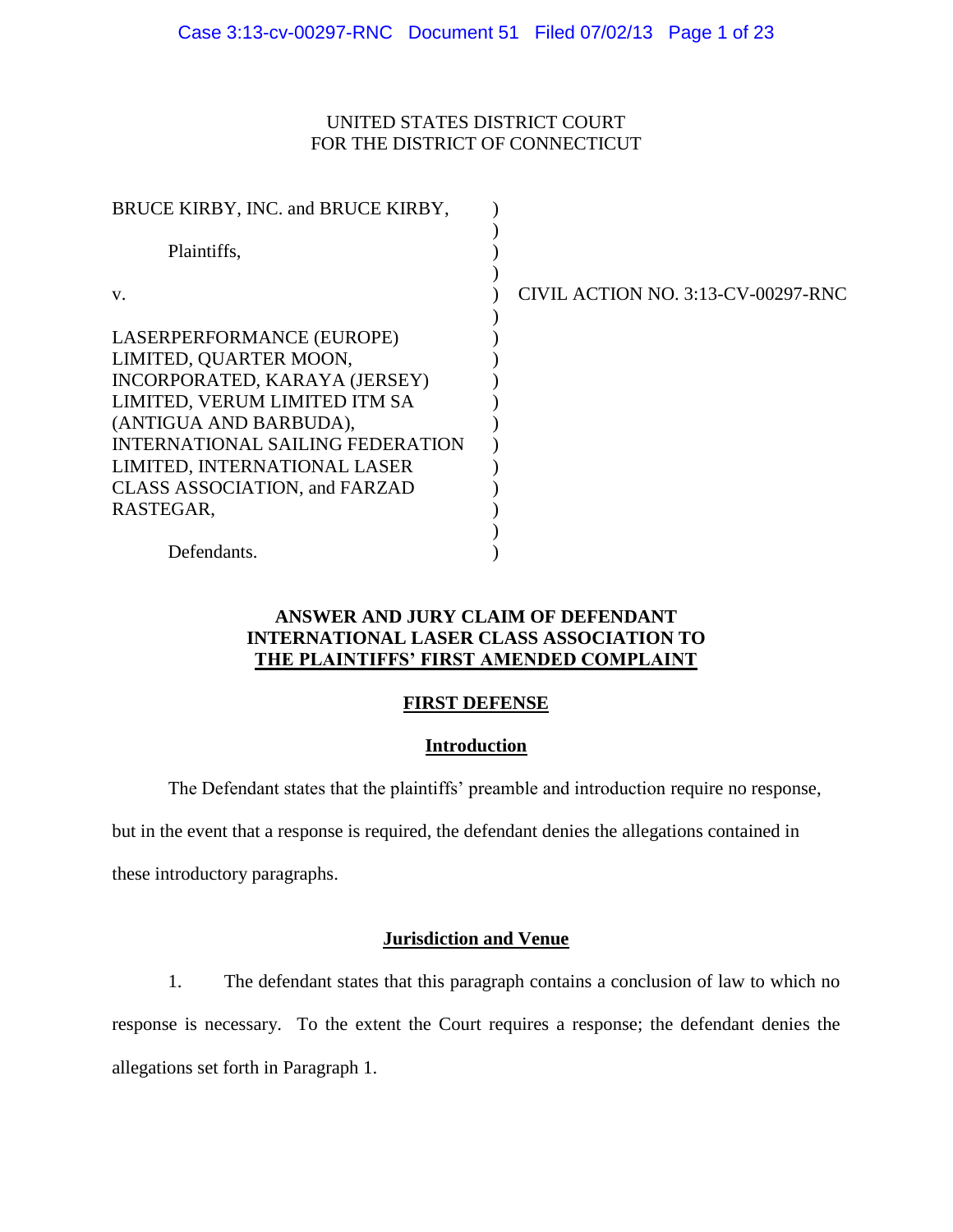# UNITED STATES DISTRICT COURT FOR THE DISTRICT OF CONNECTICUT

| BRUCE KIRBY, INC. and BRUCE KIRBY,      |                                    |
|-----------------------------------------|------------------------------------|
| Plaintiffs,                             |                                    |
| V.                                      | CIVIL ACTION NO. 3:13-CV-00297-RNC |
| LASERPERFORMANCE (EUROPE)               |                                    |
| LIMITED, QUARTER MOON,                  |                                    |
| INCORPORATED, KARAYA (JERSEY)           |                                    |
| LIMITED, VERUM LIMITED ITM SA           |                                    |
| (ANTIGUA AND BARBUDA),                  |                                    |
| <b>INTERNATIONAL SAILING FEDERATION</b> |                                    |
| LIMITED, INTERNATIONAL LASER            |                                    |
| <b>CLASS ASSOCIATION, and FARZAD</b>    |                                    |
| RASTEGAR.                               |                                    |
|                                         |                                    |
| Defendants.                             |                                    |

# **ANSWER AND JURY CLAIM OF DEFENDANT INTERNATIONAL LASER CLASS ASSOCIATION TO THE PLAINTIFFS' FIRST AMENDED COMPLAINT**

# **FIRST DEFENSE**

## **Introduction**

The Defendant states that the plaintiffs' preamble and introduction require no response,

but in the event that a response is required, the defendant denies the allegations contained in

these introductory paragraphs.

## **Jurisdiction and Venue**

1. The defendant states that this paragraph contains a conclusion of law to which no response is necessary. To the extent the Court requires a response; the defendant denies the allegations set forth in Paragraph 1.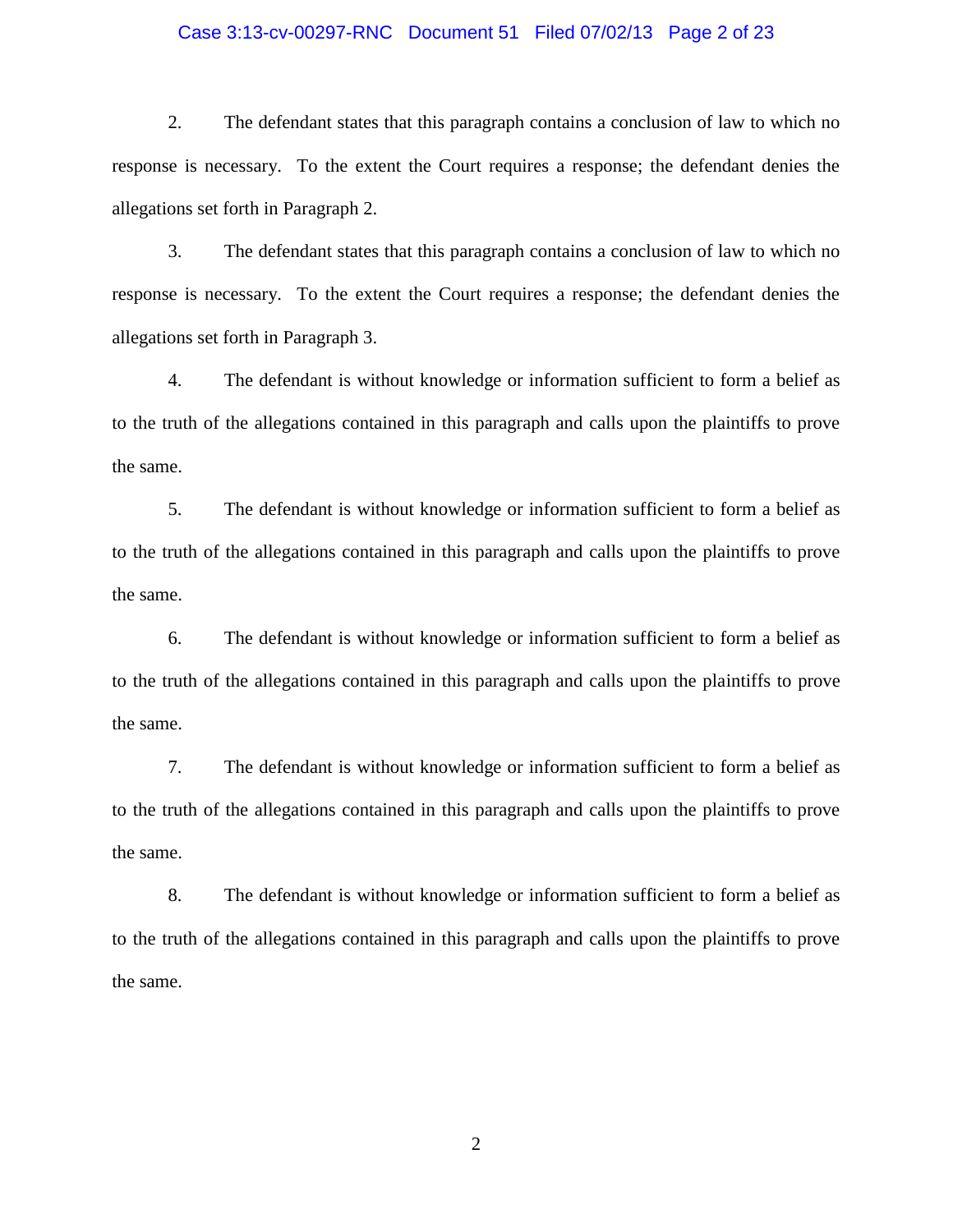### Case 3:13-cv-00297-RNC Document 51 Filed 07/02/13 Page 2 of 23

2. The defendant states that this paragraph contains a conclusion of law to which no response is necessary. To the extent the Court requires a response; the defendant denies the allegations set forth in Paragraph 2.

3. The defendant states that this paragraph contains a conclusion of law to which no response is necessary. To the extent the Court requires a response; the defendant denies the allegations set forth in Paragraph 3.

4. The defendant is without knowledge or information sufficient to form a belief as to the truth of the allegations contained in this paragraph and calls upon the plaintiffs to prove the same.

5. The defendant is without knowledge or information sufficient to form a belief as to the truth of the allegations contained in this paragraph and calls upon the plaintiffs to prove the same.

6. The defendant is without knowledge or information sufficient to form a belief as to the truth of the allegations contained in this paragraph and calls upon the plaintiffs to prove the same.

7. The defendant is without knowledge or information sufficient to form a belief as to the truth of the allegations contained in this paragraph and calls upon the plaintiffs to prove the same.

8. The defendant is without knowledge or information sufficient to form a belief as to the truth of the allegations contained in this paragraph and calls upon the plaintiffs to prove the same.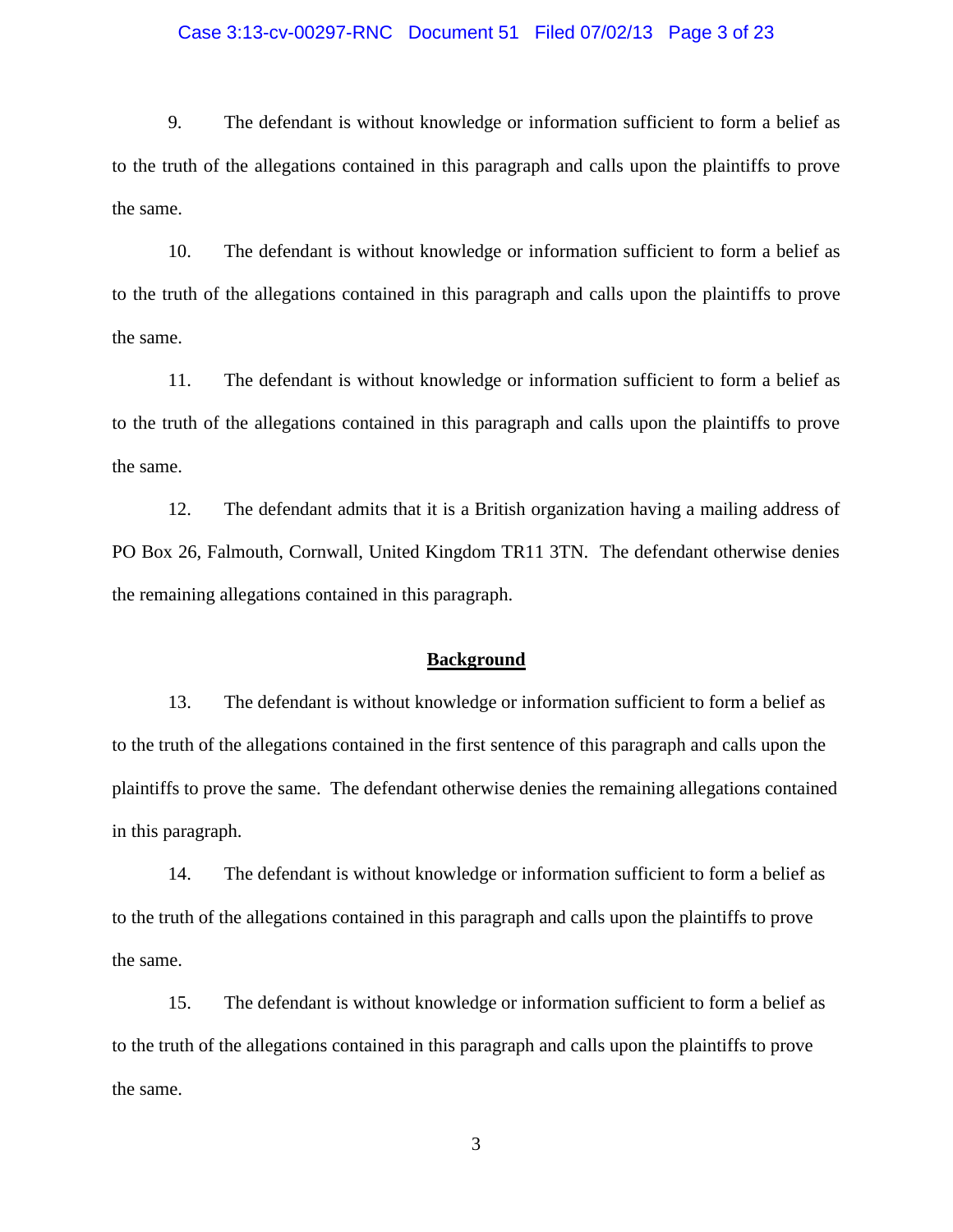### Case 3:13-cv-00297-RNC Document 51 Filed 07/02/13 Page 3 of 23

9. The defendant is without knowledge or information sufficient to form a belief as to the truth of the allegations contained in this paragraph and calls upon the plaintiffs to prove the same.

10. The defendant is without knowledge or information sufficient to form a belief as to the truth of the allegations contained in this paragraph and calls upon the plaintiffs to prove the same.

11. The defendant is without knowledge or information sufficient to form a belief as to the truth of the allegations contained in this paragraph and calls upon the plaintiffs to prove the same.

12. The defendant admits that it is a British organization having a mailing address of PO Box 26, Falmouth, Cornwall, United Kingdom TR11 3TN. The defendant otherwise denies the remaining allegations contained in this paragraph.

### **Background**

13. The defendant is without knowledge or information sufficient to form a belief as to the truth of the allegations contained in the first sentence of this paragraph and calls upon the plaintiffs to prove the same. The defendant otherwise denies the remaining allegations contained in this paragraph.

14. The defendant is without knowledge or information sufficient to form a belief as to the truth of the allegations contained in this paragraph and calls upon the plaintiffs to prove the same.

15. The defendant is without knowledge or information sufficient to form a belief as to the truth of the allegations contained in this paragraph and calls upon the plaintiffs to prove the same.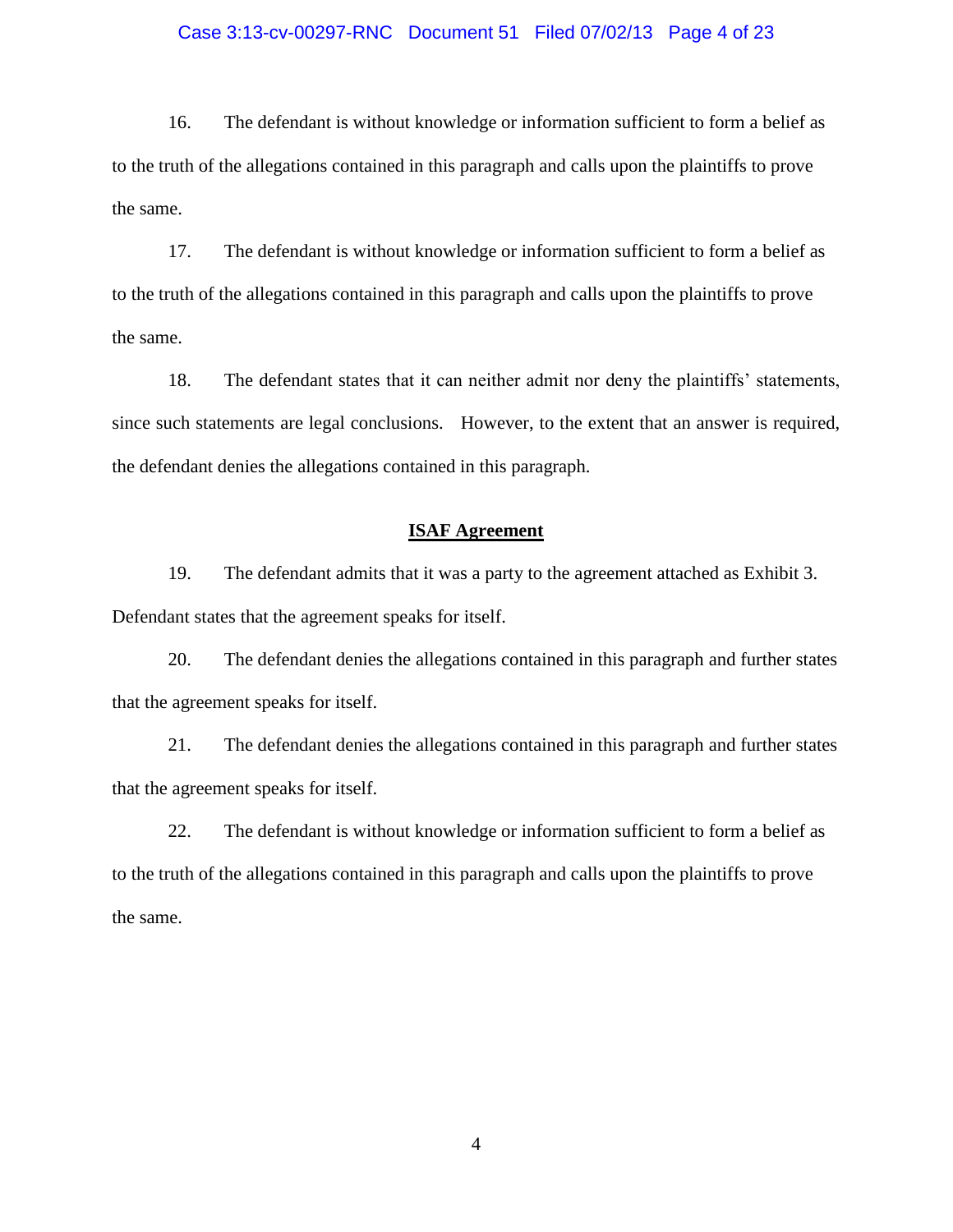### Case 3:13-cv-00297-RNC Document 51 Filed 07/02/13 Page 4 of 23

16. The defendant is without knowledge or information sufficient to form a belief as to the truth of the allegations contained in this paragraph and calls upon the plaintiffs to prove the same.

17. The defendant is without knowledge or information sufficient to form a belief as to the truth of the allegations contained in this paragraph and calls upon the plaintiffs to prove the same.

18. The defendant states that it can neither admit nor deny the plaintiffs' statements, since such statements are legal conclusions. However, to the extent that an answer is required, the defendant denies the allegations contained in this paragraph.

### **ISAF Agreement**

19. The defendant admits that it was a party to the agreement attached as Exhibit 3. Defendant states that the agreement speaks for itself.

20. The defendant denies the allegations contained in this paragraph and further states that the agreement speaks for itself.

21. The defendant denies the allegations contained in this paragraph and further states that the agreement speaks for itself.

22. The defendant is without knowledge or information sufficient to form a belief as to the truth of the allegations contained in this paragraph and calls upon the plaintiffs to prove the same.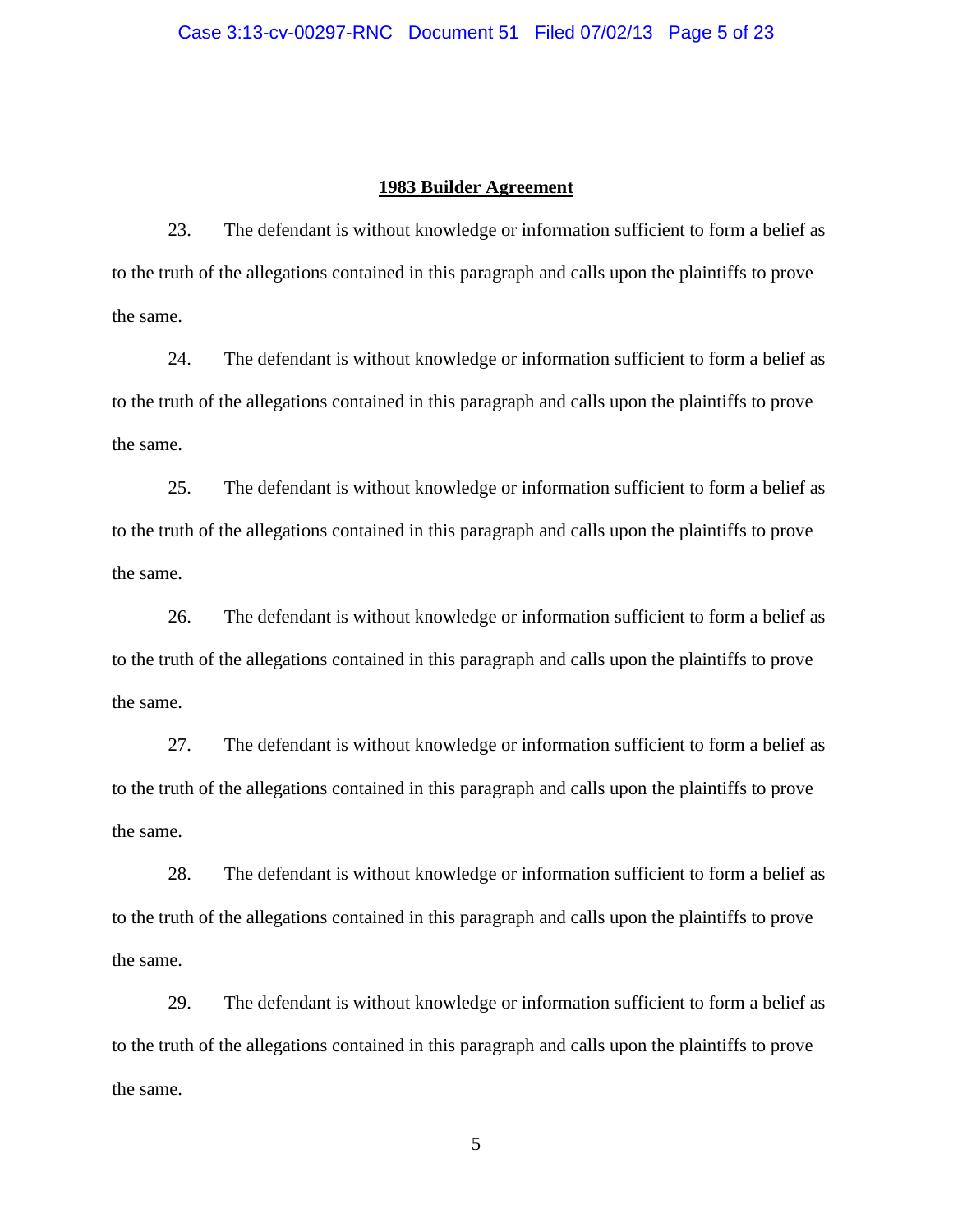### **1983 Builder Agreement**

23. The defendant is without knowledge or information sufficient to form a belief as to the truth of the allegations contained in this paragraph and calls upon the plaintiffs to prove the same.

24. The defendant is without knowledge or information sufficient to form a belief as to the truth of the allegations contained in this paragraph and calls upon the plaintiffs to prove the same.

25. The defendant is without knowledge or information sufficient to form a belief as to the truth of the allegations contained in this paragraph and calls upon the plaintiffs to prove the same.

26. The defendant is without knowledge or information sufficient to form a belief as to the truth of the allegations contained in this paragraph and calls upon the plaintiffs to prove the same.

27. The defendant is without knowledge or information sufficient to form a belief as to the truth of the allegations contained in this paragraph and calls upon the plaintiffs to prove the same.

28. The defendant is without knowledge or information sufficient to form a belief as to the truth of the allegations contained in this paragraph and calls upon the plaintiffs to prove the same.

29. The defendant is without knowledge or information sufficient to form a belief as to the truth of the allegations contained in this paragraph and calls upon the plaintiffs to prove the same.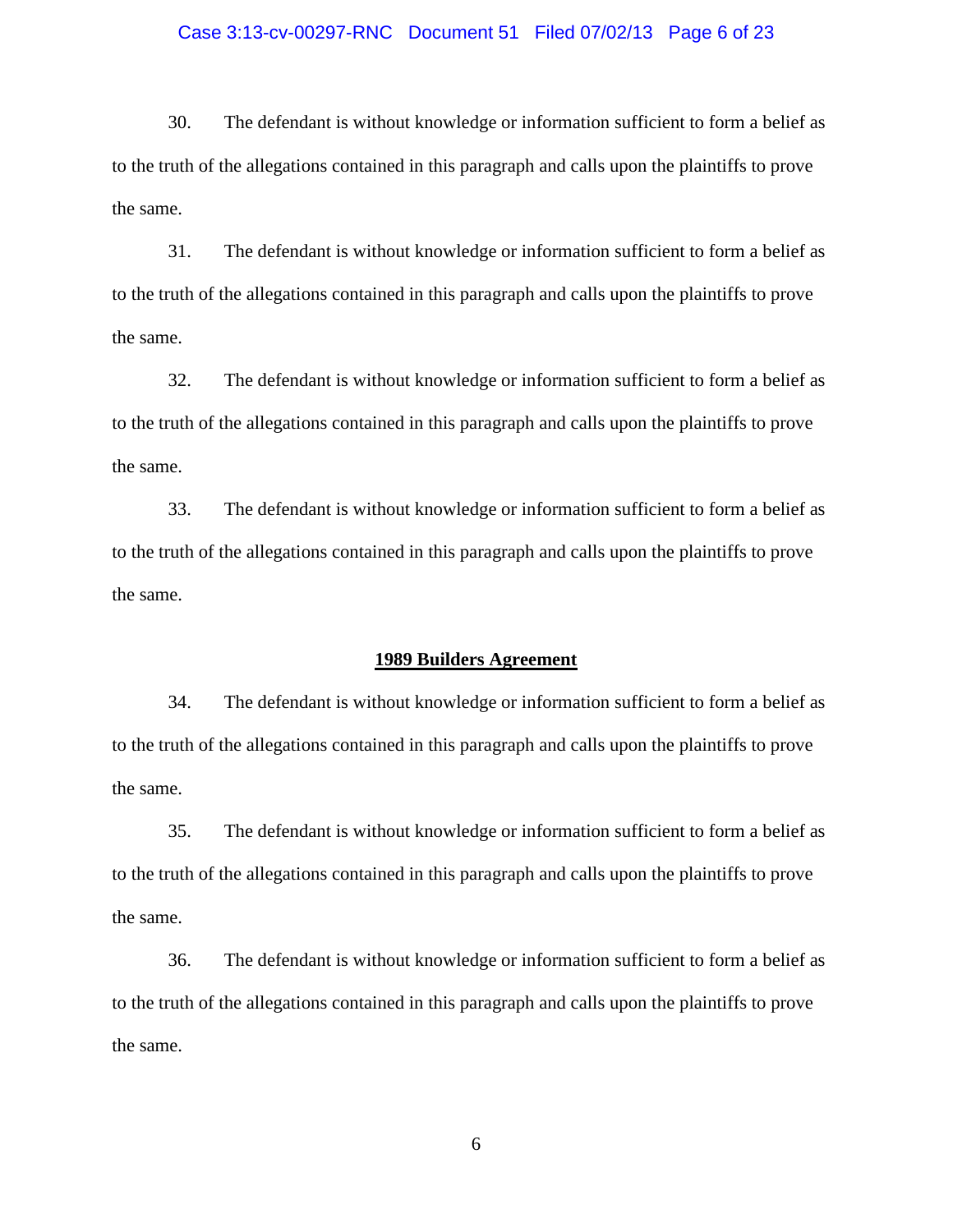### Case 3:13-cv-00297-RNC Document 51 Filed 07/02/13 Page 6 of 23

30. The defendant is without knowledge or information sufficient to form a belief as to the truth of the allegations contained in this paragraph and calls upon the plaintiffs to prove the same.

31. The defendant is without knowledge or information sufficient to form a belief as to the truth of the allegations contained in this paragraph and calls upon the plaintiffs to prove the same.

32. The defendant is without knowledge or information sufficient to form a belief as to the truth of the allegations contained in this paragraph and calls upon the plaintiffs to prove the same.

33. The defendant is without knowledge or information sufficient to form a belief as to the truth of the allegations contained in this paragraph and calls upon the plaintiffs to prove the same.

### **1989 Builders Agreement**

34. The defendant is without knowledge or information sufficient to form a belief as to the truth of the allegations contained in this paragraph and calls upon the plaintiffs to prove the same.

35. The defendant is without knowledge or information sufficient to form a belief as to the truth of the allegations contained in this paragraph and calls upon the plaintiffs to prove the same.

36. The defendant is without knowledge or information sufficient to form a belief as to the truth of the allegations contained in this paragraph and calls upon the plaintiffs to prove the same.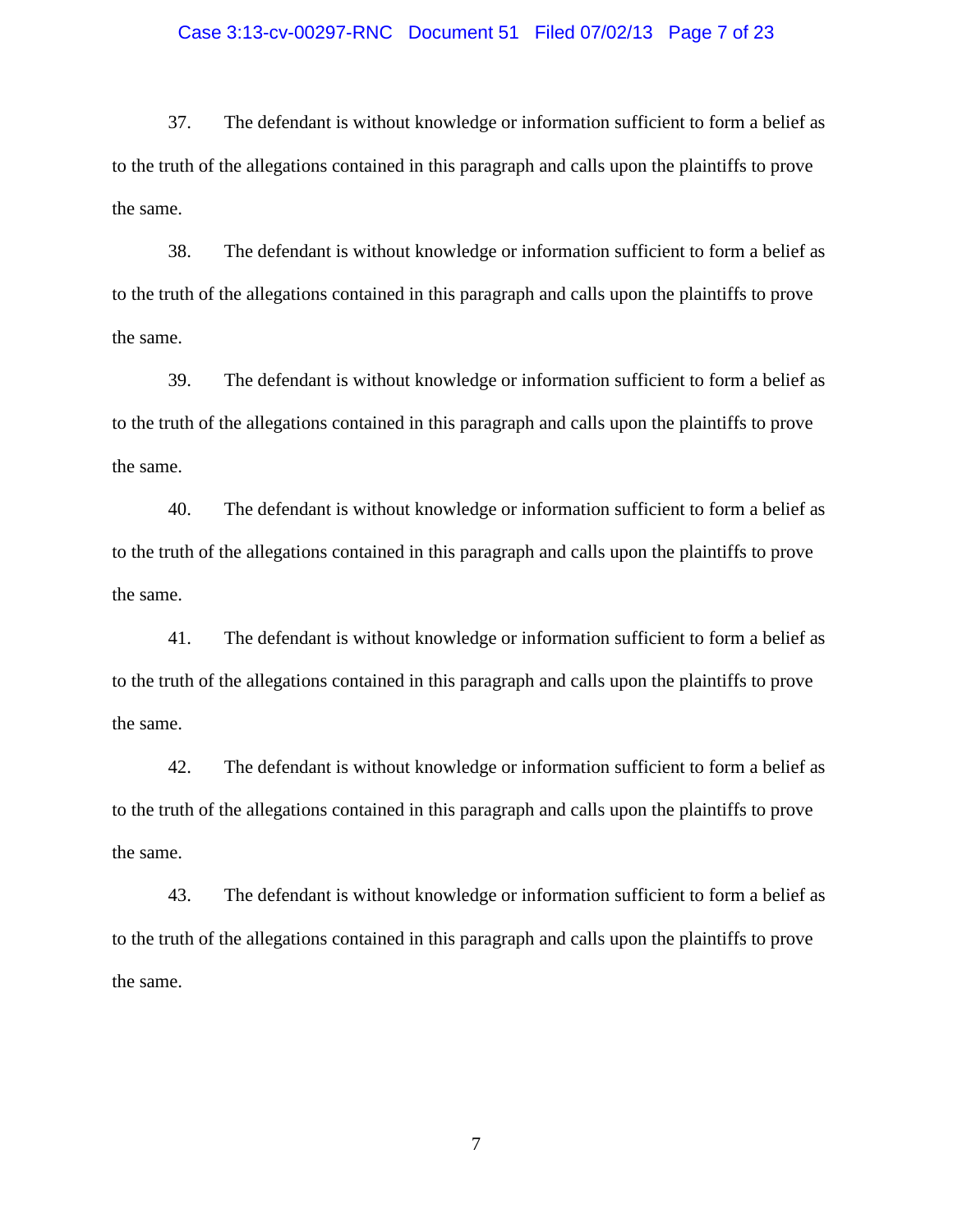### Case 3:13-cv-00297-RNC Document 51 Filed 07/02/13 Page 7 of 23

37. The defendant is without knowledge or information sufficient to form a belief as to the truth of the allegations contained in this paragraph and calls upon the plaintiffs to prove the same.

38. The defendant is without knowledge or information sufficient to form a belief as to the truth of the allegations contained in this paragraph and calls upon the plaintiffs to prove the same.

39. The defendant is without knowledge or information sufficient to form a belief as to the truth of the allegations contained in this paragraph and calls upon the plaintiffs to prove the same.

40. The defendant is without knowledge or information sufficient to form a belief as to the truth of the allegations contained in this paragraph and calls upon the plaintiffs to prove the same.

41. The defendant is without knowledge or information sufficient to form a belief as to the truth of the allegations contained in this paragraph and calls upon the plaintiffs to prove the same.

42. The defendant is without knowledge or information sufficient to form a belief as to the truth of the allegations contained in this paragraph and calls upon the plaintiffs to prove the same.

43. The defendant is without knowledge or information sufficient to form a belief as to the truth of the allegations contained in this paragraph and calls upon the plaintiffs to prove the same.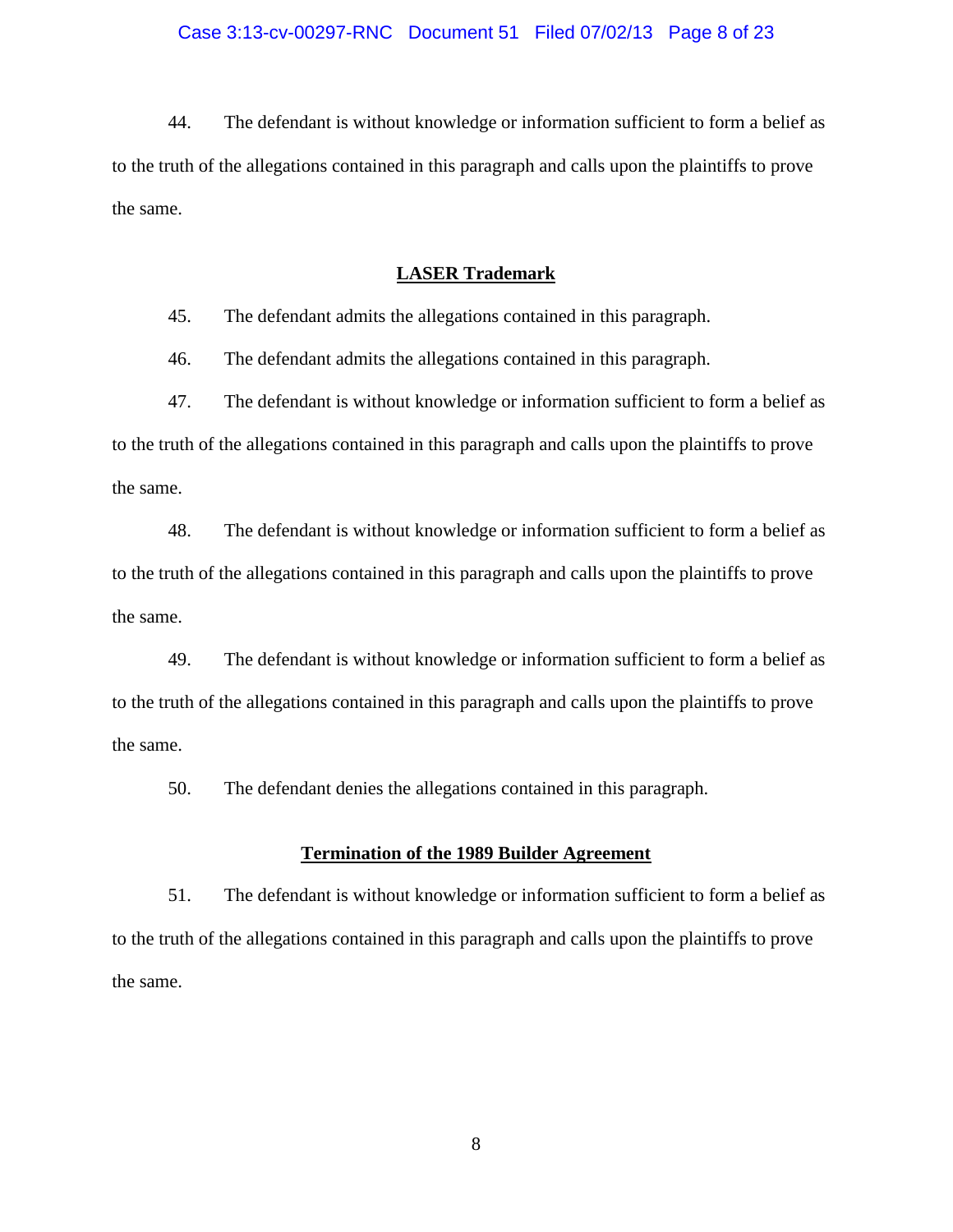44. The defendant is without knowledge or information sufficient to form a belief as to the truth of the allegations contained in this paragraph and calls upon the plaintiffs to prove the same.

## **LASER Trademark**

45. The defendant admits the allegations contained in this paragraph.

46. The defendant admits the allegations contained in this paragraph.

47. The defendant is without knowledge or information sufficient to form a belief as to the truth of the allegations contained in this paragraph and calls upon the plaintiffs to prove the same.

48. The defendant is without knowledge or information sufficient to form a belief as to the truth of the allegations contained in this paragraph and calls upon the plaintiffs to prove the same.

49. The defendant is without knowledge or information sufficient to form a belief as to the truth of the allegations contained in this paragraph and calls upon the plaintiffs to prove the same.

50. The defendant denies the allegations contained in this paragraph.

### **Termination of the 1989 Builder Agreement**

51. The defendant is without knowledge or information sufficient to form a belief as to the truth of the allegations contained in this paragraph and calls upon the plaintiffs to prove the same.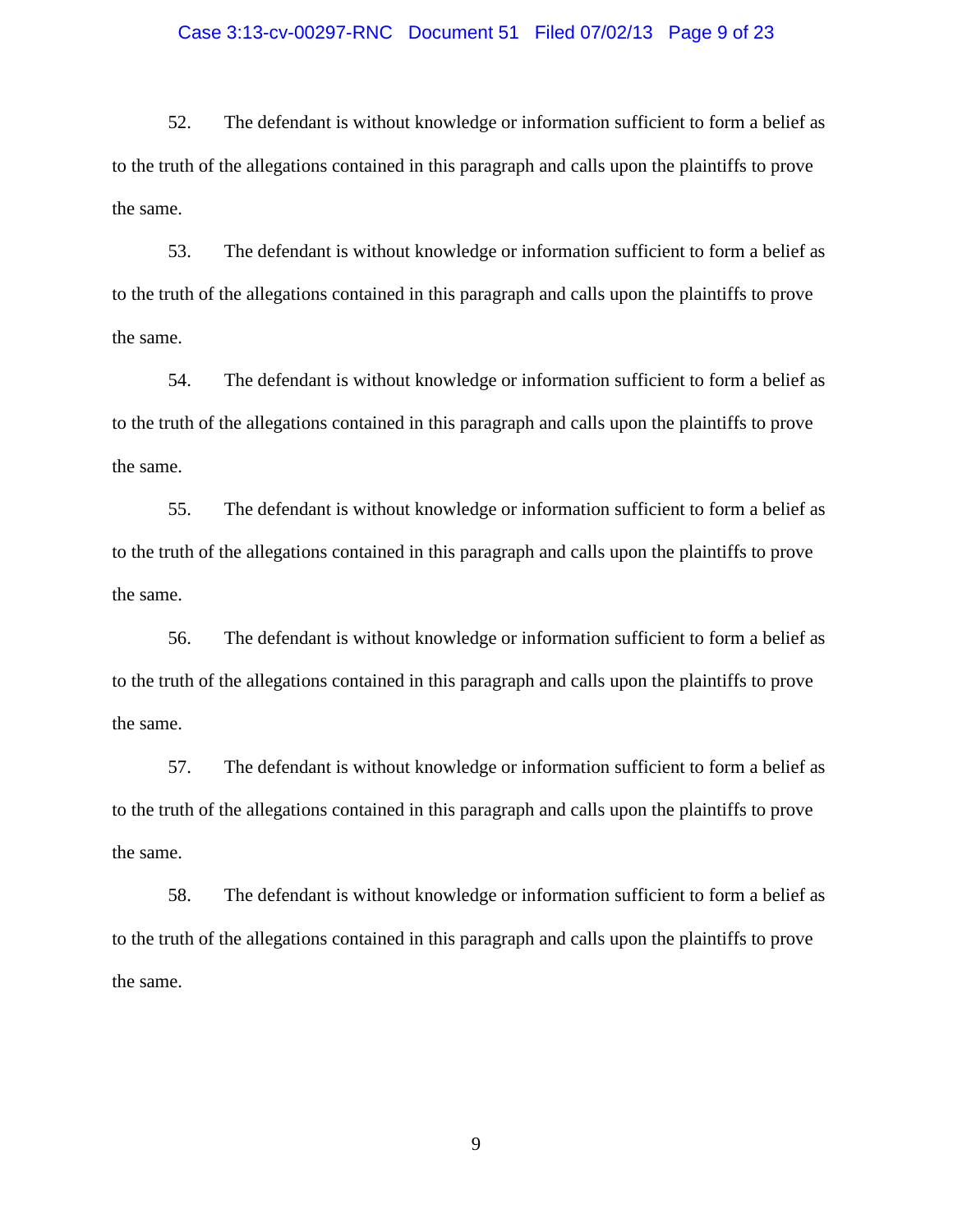### Case 3:13-cv-00297-RNC Document 51 Filed 07/02/13 Page 9 of 23

52. The defendant is without knowledge or information sufficient to form a belief as to the truth of the allegations contained in this paragraph and calls upon the plaintiffs to prove the same.

53. The defendant is without knowledge or information sufficient to form a belief as to the truth of the allegations contained in this paragraph and calls upon the plaintiffs to prove the same.

54. The defendant is without knowledge or information sufficient to form a belief as to the truth of the allegations contained in this paragraph and calls upon the plaintiffs to prove the same.

55. The defendant is without knowledge or information sufficient to form a belief as to the truth of the allegations contained in this paragraph and calls upon the plaintiffs to prove the same.

56. The defendant is without knowledge or information sufficient to form a belief as to the truth of the allegations contained in this paragraph and calls upon the plaintiffs to prove the same.

57. The defendant is without knowledge or information sufficient to form a belief as to the truth of the allegations contained in this paragraph and calls upon the plaintiffs to prove the same.

58. The defendant is without knowledge or information sufficient to form a belief as to the truth of the allegations contained in this paragraph and calls upon the plaintiffs to prove the same.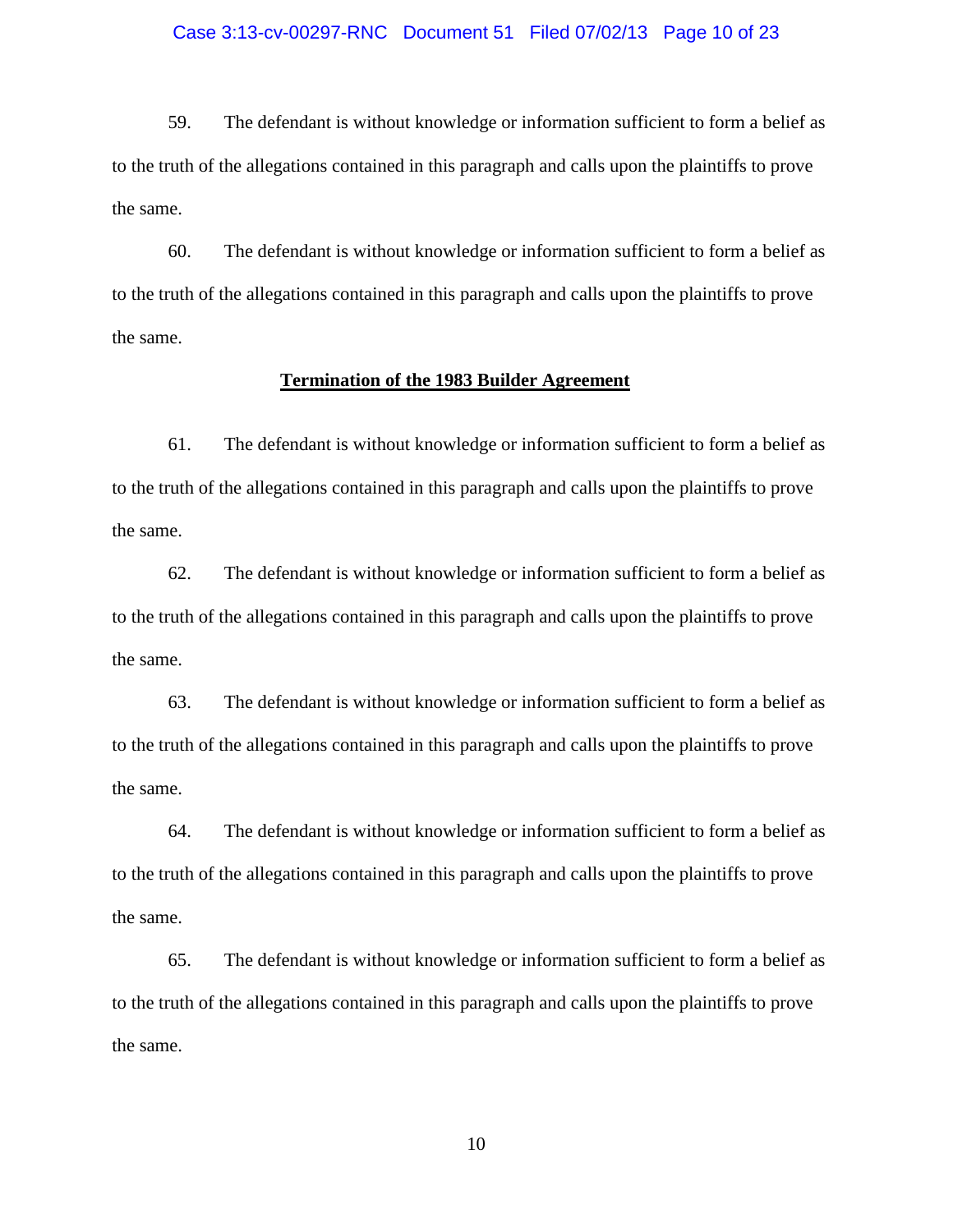### Case 3:13-cv-00297-RNC Document 51 Filed 07/02/13 Page 10 of 23

59. The defendant is without knowledge or information sufficient to form a belief as to the truth of the allegations contained in this paragraph and calls upon the plaintiffs to prove the same.

60. The defendant is without knowledge or information sufficient to form a belief as to the truth of the allegations contained in this paragraph and calls upon the plaintiffs to prove the same.

### **Termination of the 1983 Builder Agreement**

61. The defendant is without knowledge or information sufficient to form a belief as to the truth of the allegations contained in this paragraph and calls upon the plaintiffs to prove the same.

62. The defendant is without knowledge or information sufficient to form a belief as to the truth of the allegations contained in this paragraph and calls upon the plaintiffs to prove the same.

63. The defendant is without knowledge or information sufficient to form a belief as to the truth of the allegations contained in this paragraph and calls upon the plaintiffs to prove the same.

64. The defendant is without knowledge or information sufficient to form a belief as to the truth of the allegations contained in this paragraph and calls upon the plaintiffs to prove the same.

65. The defendant is without knowledge or information sufficient to form a belief as to the truth of the allegations contained in this paragraph and calls upon the plaintiffs to prove the same.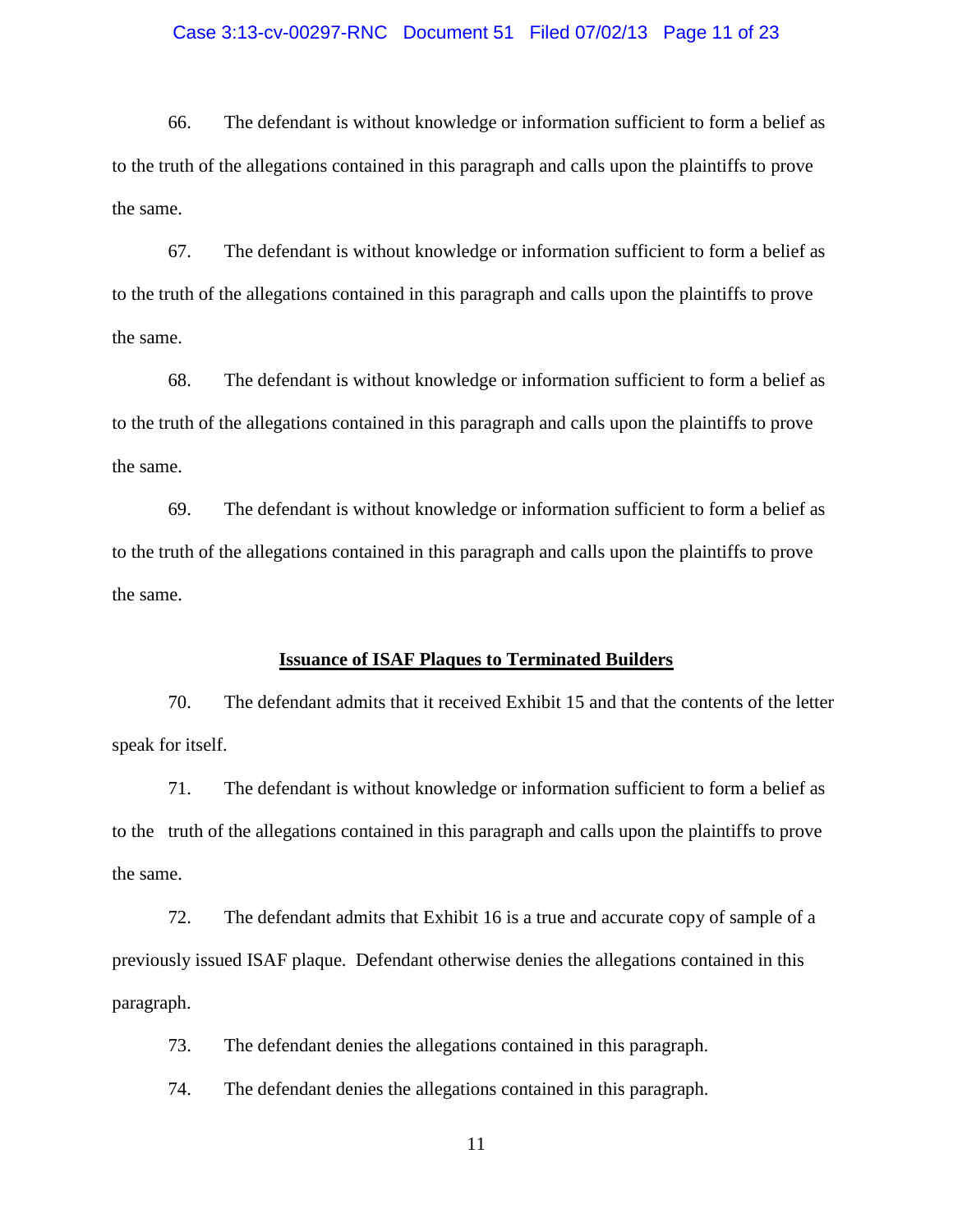### Case 3:13-cv-00297-RNC Document 51 Filed 07/02/13 Page 11 of 23

66. The defendant is without knowledge or information sufficient to form a belief as to the truth of the allegations contained in this paragraph and calls upon the plaintiffs to prove the same.

67. The defendant is without knowledge or information sufficient to form a belief as to the truth of the allegations contained in this paragraph and calls upon the plaintiffs to prove the same.

68. The defendant is without knowledge or information sufficient to form a belief as to the truth of the allegations contained in this paragraph and calls upon the plaintiffs to prove the same.

69. The defendant is without knowledge or information sufficient to form a belief as to the truth of the allegations contained in this paragraph and calls upon the plaintiffs to prove the same.

### **Issuance of ISAF Plaques to Terminated Builders**

70. The defendant admits that it received Exhibit 15 and that the contents of the letter speak for itself.

71. The defendant is without knowledge or information sufficient to form a belief as to the truth of the allegations contained in this paragraph and calls upon the plaintiffs to prove the same.

72. The defendant admits that Exhibit 16 is a true and accurate copy of sample of a previously issued ISAF plaque. Defendant otherwise denies the allegations contained in this paragraph.

73. The defendant denies the allegations contained in this paragraph.

74. The defendant denies the allegations contained in this paragraph.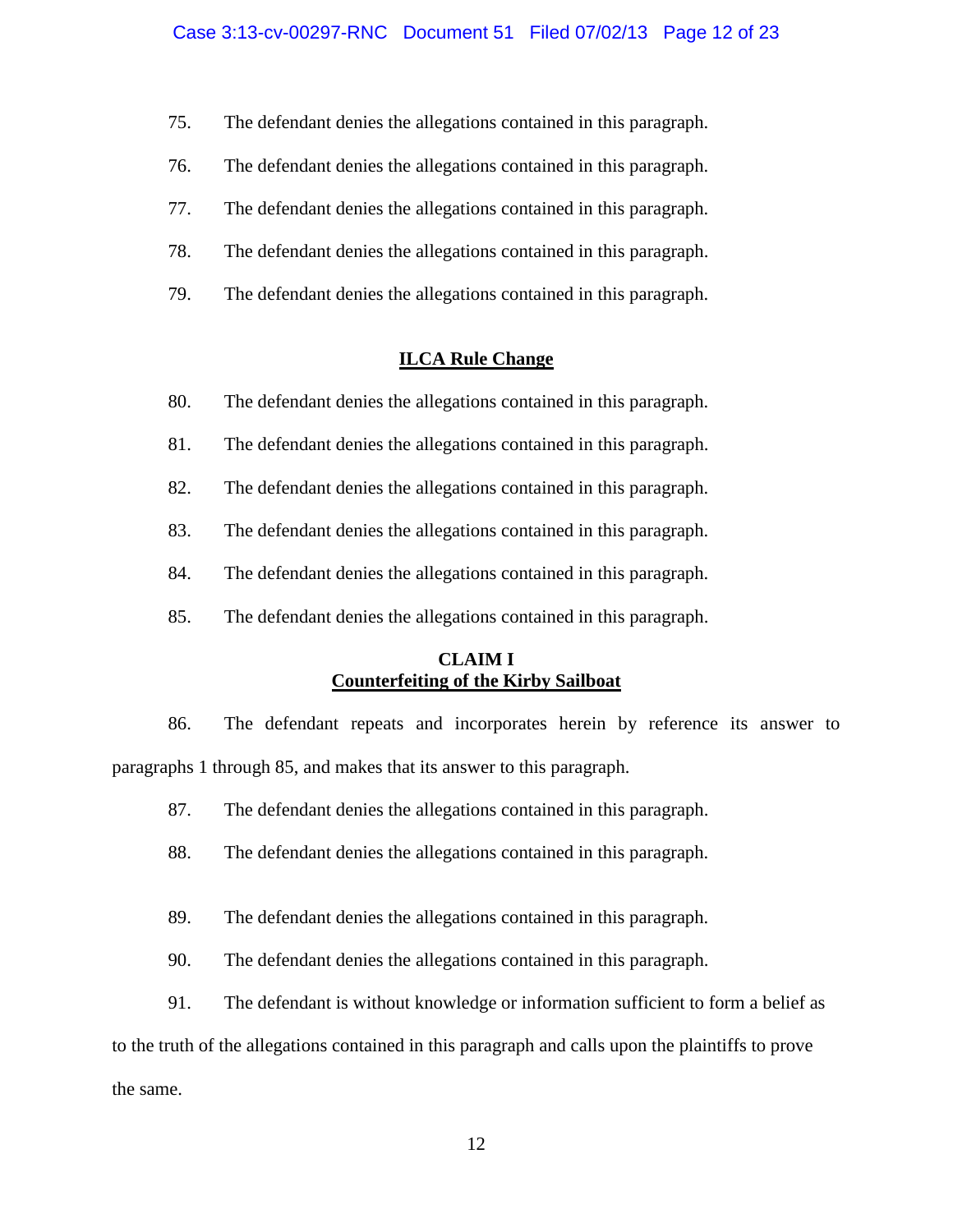- 75. The defendant denies the allegations contained in this paragraph.
- 76. The defendant denies the allegations contained in this paragraph.
- 77. The defendant denies the allegations contained in this paragraph.
- 78. The defendant denies the allegations contained in this paragraph.
- 79. The defendant denies the allegations contained in this paragraph.

## **ILCA Rule Change**

- 80. The defendant denies the allegations contained in this paragraph.
- 81. The defendant denies the allegations contained in this paragraph.
- 82. The defendant denies the allegations contained in this paragraph.
- 83. The defendant denies the allegations contained in this paragraph.
- 84. The defendant denies the allegations contained in this paragraph.
- 85. The defendant denies the allegations contained in this paragraph.

## **CLAIM I Counterfeiting of the Kirby Sailboat**

86. The defendant repeats and incorporates herein by reference its answer to paragraphs 1 through 85, and makes that its answer to this paragraph.

- 87. The defendant denies the allegations contained in this paragraph.
- 88. The defendant denies the allegations contained in this paragraph.
- 89. The defendant denies the allegations contained in this paragraph.
- 90. The defendant denies the allegations contained in this paragraph.
- 91. The defendant is without knowledge or information sufficient to form a belief as

to the truth of the allegations contained in this paragraph and calls upon the plaintiffs to prove

the same.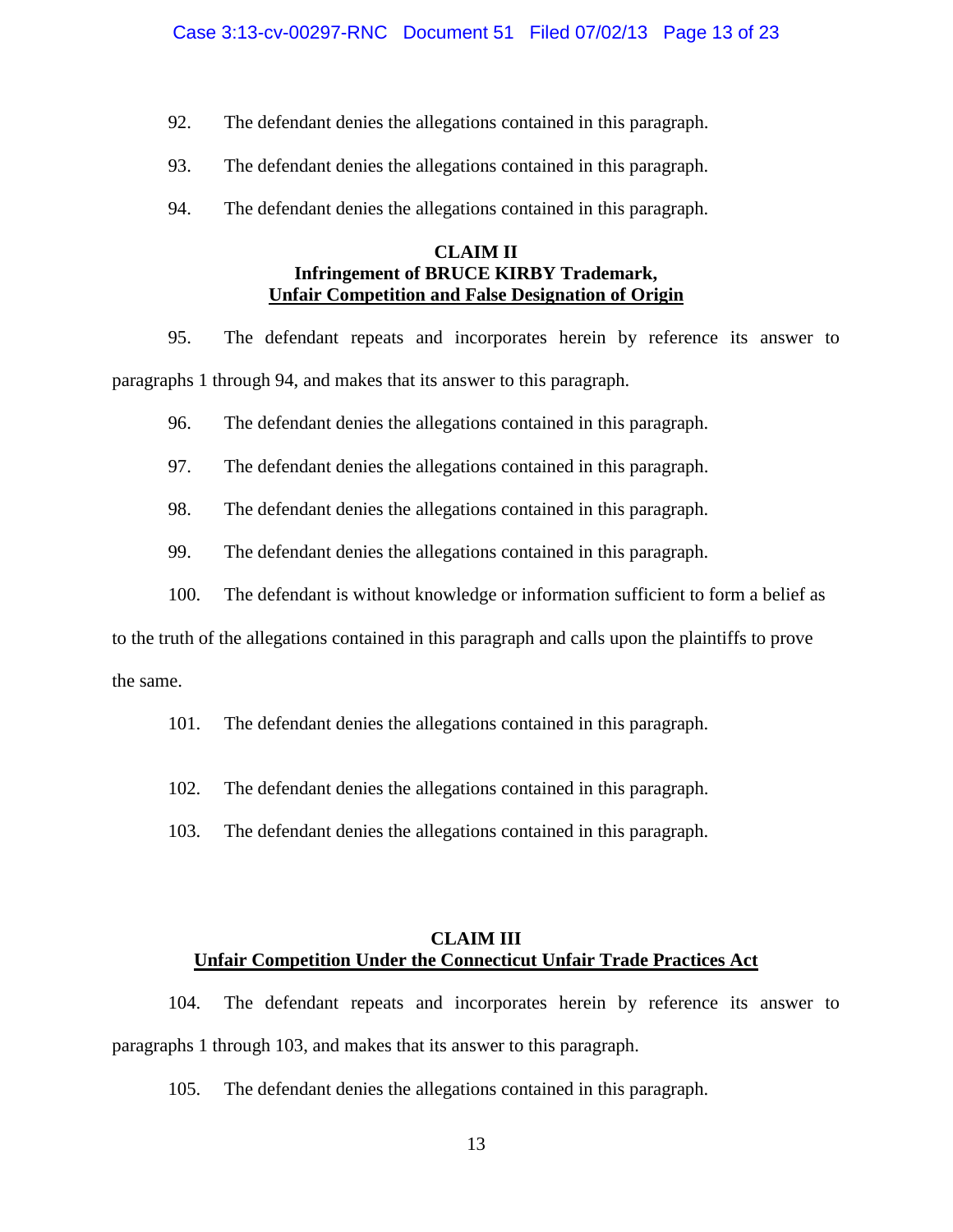- 92. The defendant denies the allegations contained in this paragraph.
- 93. The defendant denies the allegations contained in this paragraph.
- 94. The defendant denies the allegations contained in this paragraph.

## **CLAIM II Infringement of BRUCE KIRBY Trademark, Unfair Competition and False Designation of Origin**

95. The defendant repeats and incorporates herein by reference its answer to paragraphs 1 through 94, and makes that its answer to this paragraph.

- 96. The defendant denies the allegations contained in this paragraph.
- 97. The defendant denies the allegations contained in this paragraph.
- 98. The defendant denies the allegations contained in this paragraph.
- 99. The defendant denies the allegations contained in this paragraph.
- 100. The defendant is without knowledge or information sufficient to form a belief as

to the truth of the allegations contained in this paragraph and calls upon the plaintiffs to prove

the same.

- 101. The defendant denies the allegations contained in this paragraph.
- 102. The defendant denies the allegations contained in this paragraph.
- 103. The defendant denies the allegations contained in this paragraph.

## **CLAIM III Unfair Competition Under the Connecticut Unfair Trade Practices Act**

104. The defendant repeats and incorporates herein by reference its answer to paragraphs 1 through 103, and makes that its answer to this paragraph.

105. The defendant denies the allegations contained in this paragraph.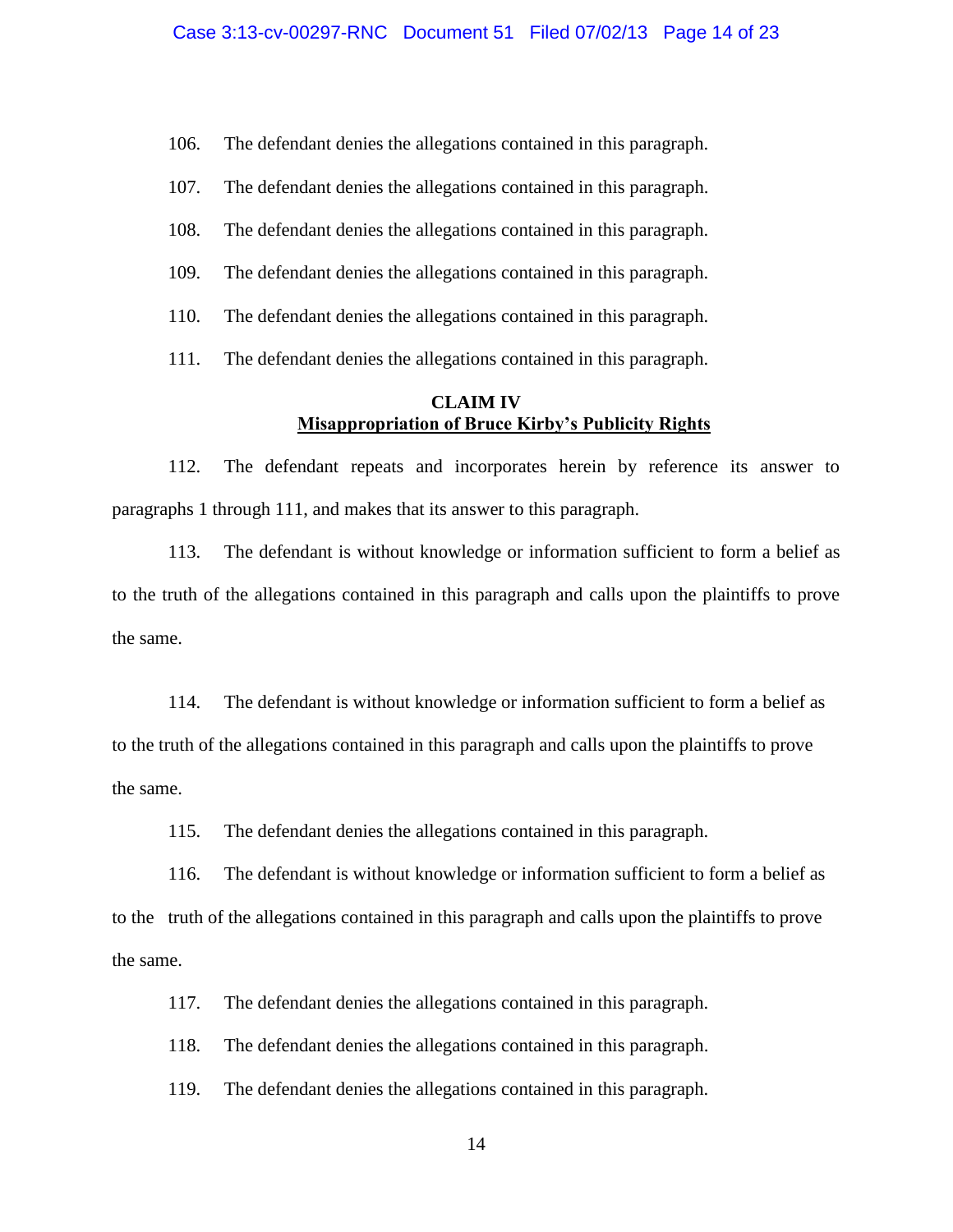106. The defendant denies the allegations contained in this paragraph.

- 107. The defendant denies the allegations contained in this paragraph.
- 108. The defendant denies the allegations contained in this paragraph.
- 109. The defendant denies the allegations contained in this paragraph.
- 110. The defendant denies the allegations contained in this paragraph.

111. The defendant denies the allegations contained in this paragraph.

## **CLAIM IV Misappropriation of Bruce Kirby's Publicity Rights**

112. The defendant repeats and incorporates herein by reference its answer to paragraphs 1 through 111, and makes that its answer to this paragraph.

113. The defendant is without knowledge or information sufficient to form a belief as to the truth of the allegations contained in this paragraph and calls upon the plaintiffs to prove the same.

114. The defendant is without knowledge or information sufficient to form a belief as to the truth of the allegations contained in this paragraph and calls upon the plaintiffs to prove the same.

115. The defendant denies the allegations contained in this paragraph.

116. The defendant is without knowledge or information sufficient to form a belief as to the truth of the allegations contained in this paragraph and calls upon the plaintiffs to prove the same.

117. The defendant denies the allegations contained in this paragraph.

118. The defendant denies the allegations contained in this paragraph.

119. The defendant denies the allegations contained in this paragraph.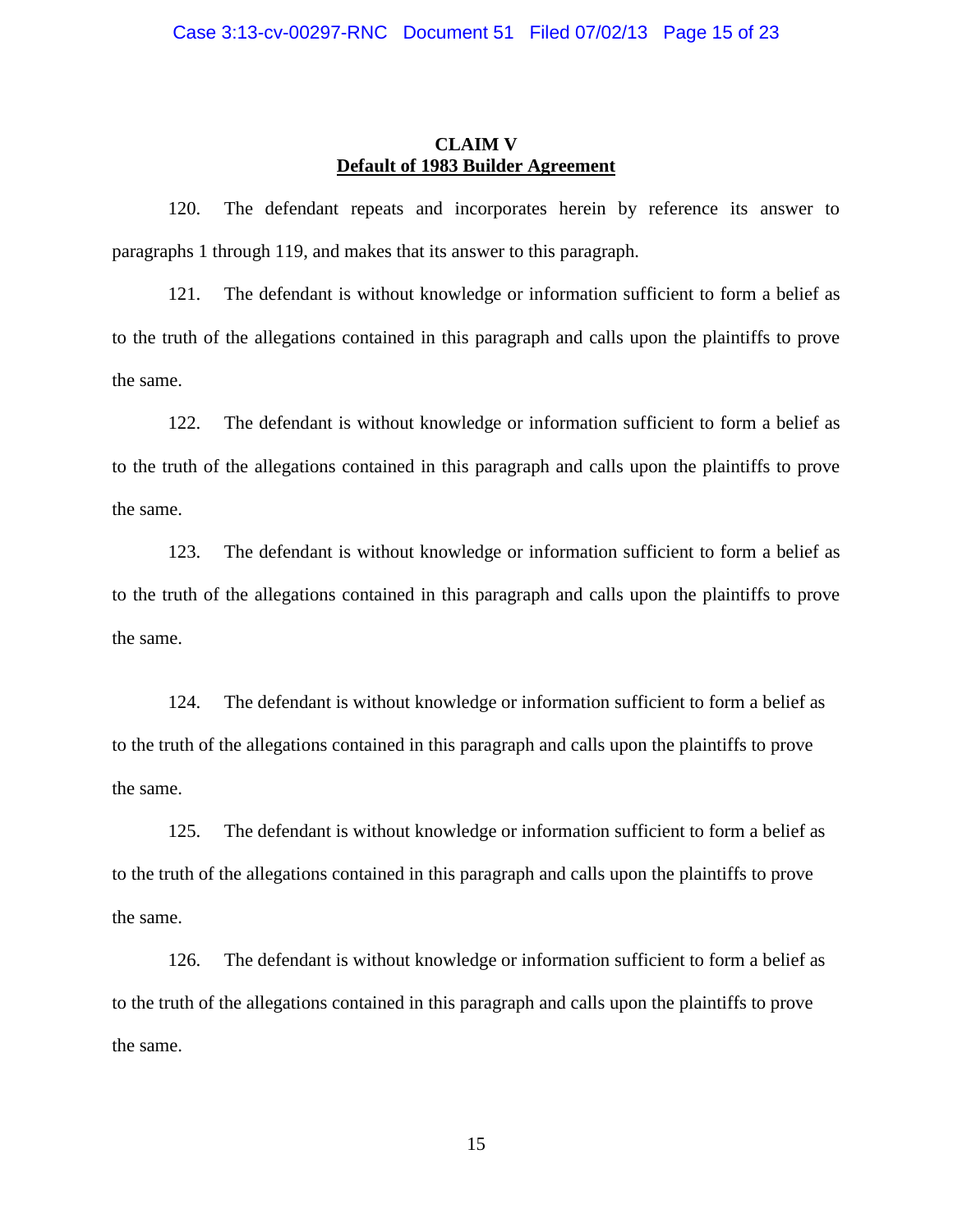## **CLAIM V Default of 1983 Builder Agreement**

120. The defendant repeats and incorporates herein by reference its answer to paragraphs 1 through 119, and makes that its answer to this paragraph.

121. The defendant is without knowledge or information sufficient to form a belief as to the truth of the allegations contained in this paragraph and calls upon the plaintiffs to prove the same.

122. The defendant is without knowledge or information sufficient to form a belief as to the truth of the allegations contained in this paragraph and calls upon the plaintiffs to prove the same.

123. The defendant is without knowledge or information sufficient to form a belief as to the truth of the allegations contained in this paragraph and calls upon the plaintiffs to prove the same.

124. The defendant is without knowledge or information sufficient to form a belief as to the truth of the allegations contained in this paragraph and calls upon the plaintiffs to prove the same.

125. The defendant is without knowledge or information sufficient to form a belief as to the truth of the allegations contained in this paragraph and calls upon the plaintiffs to prove the same.

126. The defendant is without knowledge or information sufficient to form a belief as to the truth of the allegations contained in this paragraph and calls upon the plaintiffs to prove the same.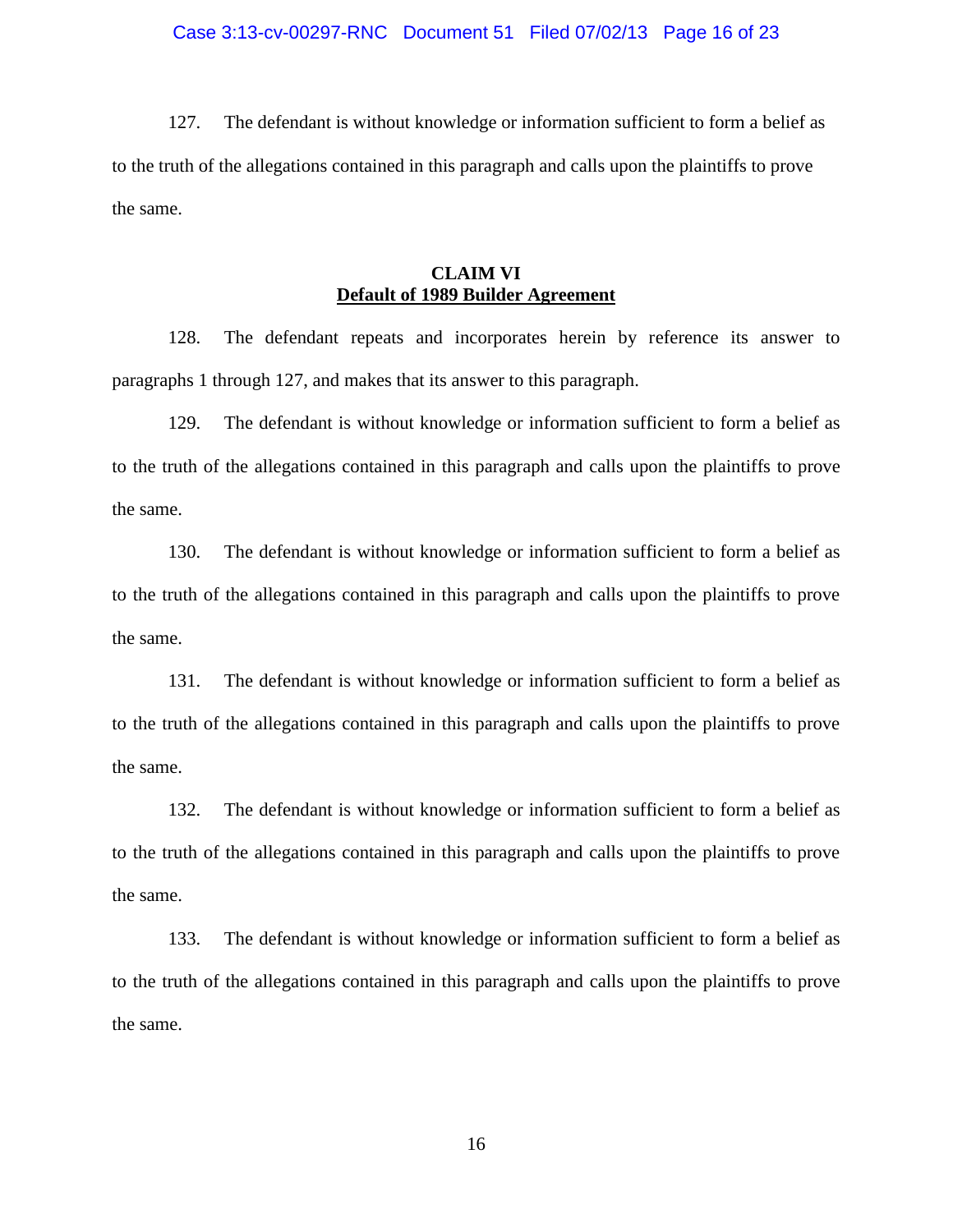### Case 3:13-cv-00297-RNC Document 51 Filed 07/02/13 Page 16 of 23

127. The defendant is without knowledge or information sufficient to form a belief as to the truth of the allegations contained in this paragraph and calls upon the plaintiffs to prove the same.

## **CLAIM VI Default of 1989 Builder Agreement**

128. The defendant repeats and incorporates herein by reference its answer to paragraphs 1 through 127, and makes that its answer to this paragraph.

129. The defendant is without knowledge or information sufficient to form a belief as to the truth of the allegations contained in this paragraph and calls upon the plaintiffs to prove the same.

130. The defendant is without knowledge or information sufficient to form a belief as to the truth of the allegations contained in this paragraph and calls upon the plaintiffs to prove the same.

131. The defendant is without knowledge or information sufficient to form a belief as to the truth of the allegations contained in this paragraph and calls upon the plaintiffs to prove the same.

132. The defendant is without knowledge or information sufficient to form a belief as to the truth of the allegations contained in this paragraph and calls upon the plaintiffs to prove the same.

133. The defendant is without knowledge or information sufficient to form a belief as to the truth of the allegations contained in this paragraph and calls upon the plaintiffs to prove the same.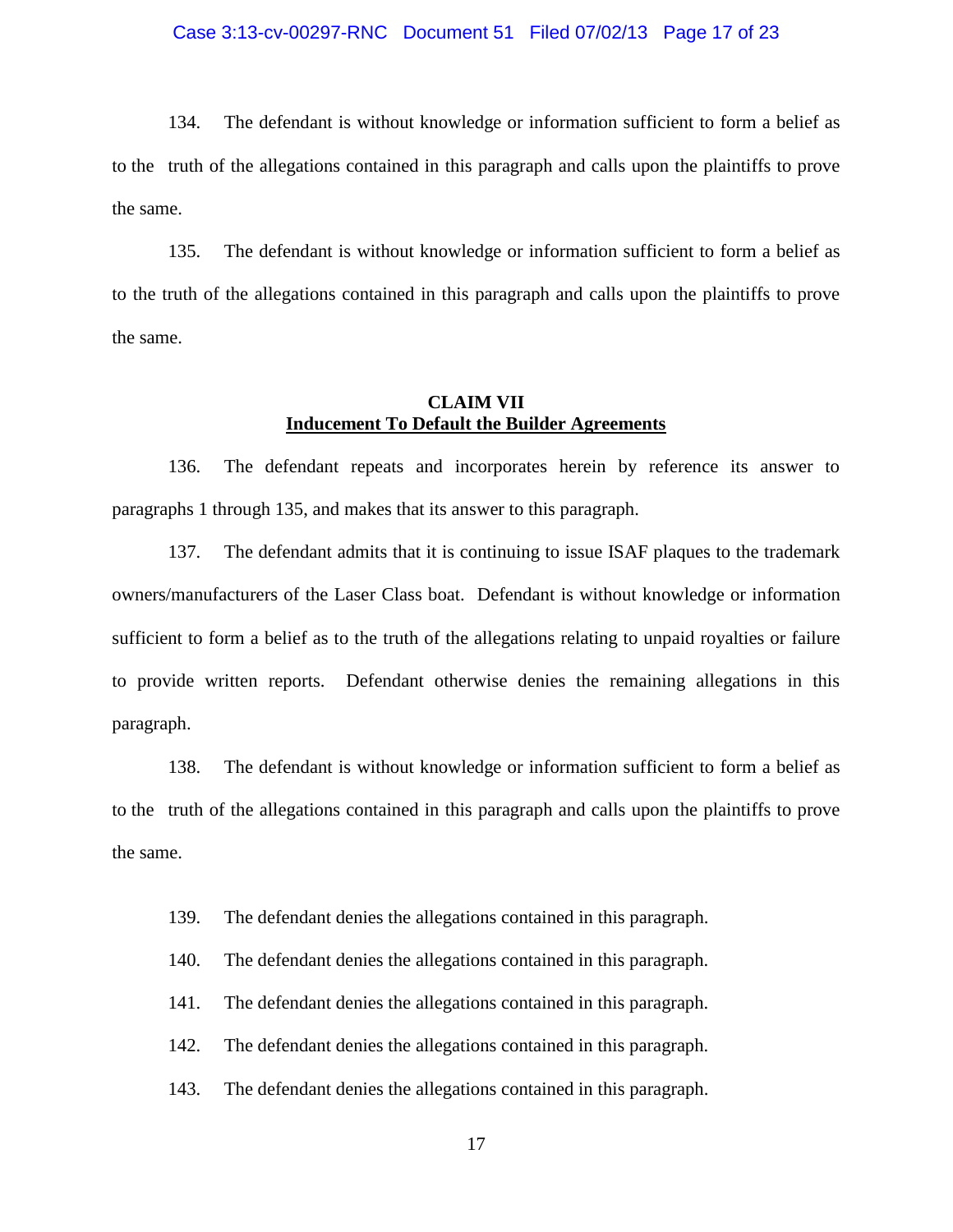### Case 3:13-cv-00297-RNC Document 51 Filed 07/02/13 Page 17 of 23

134. The defendant is without knowledge or information sufficient to form a belief as to the truth of the allegations contained in this paragraph and calls upon the plaintiffs to prove the same.

135. The defendant is without knowledge or information sufficient to form a belief as to the truth of the allegations contained in this paragraph and calls upon the plaintiffs to prove the same.

## **CLAIM VII Inducement To Default the Builder Agreements**

136. The defendant repeats and incorporates herein by reference its answer to paragraphs 1 through 135, and makes that its answer to this paragraph.

137. The defendant admits that it is continuing to issue ISAF plaques to the trademark owners/manufacturers of the Laser Class boat. Defendant is without knowledge or information sufficient to form a belief as to the truth of the allegations relating to unpaid royalties or failure to provide written reports. Defendant otherwise denies the remaining allegations in this paragraph.

138. The defendant is without knowledge or information sufficient to form a belief as to the truth of the allegations contained in this paragraph and calls upon the plaintiffs to prove the same.

- 139. The defendant denies the allegations contained in this paragraph.
- 140. The defendant denies the allegations contained in this paragraph.
- 141. The defendant denies the allegations contained in this paragraph.
- 142. The defendant denies the allegations contained in this paragraph.
- 143. The defendant denies the allegations contained in this paragraph.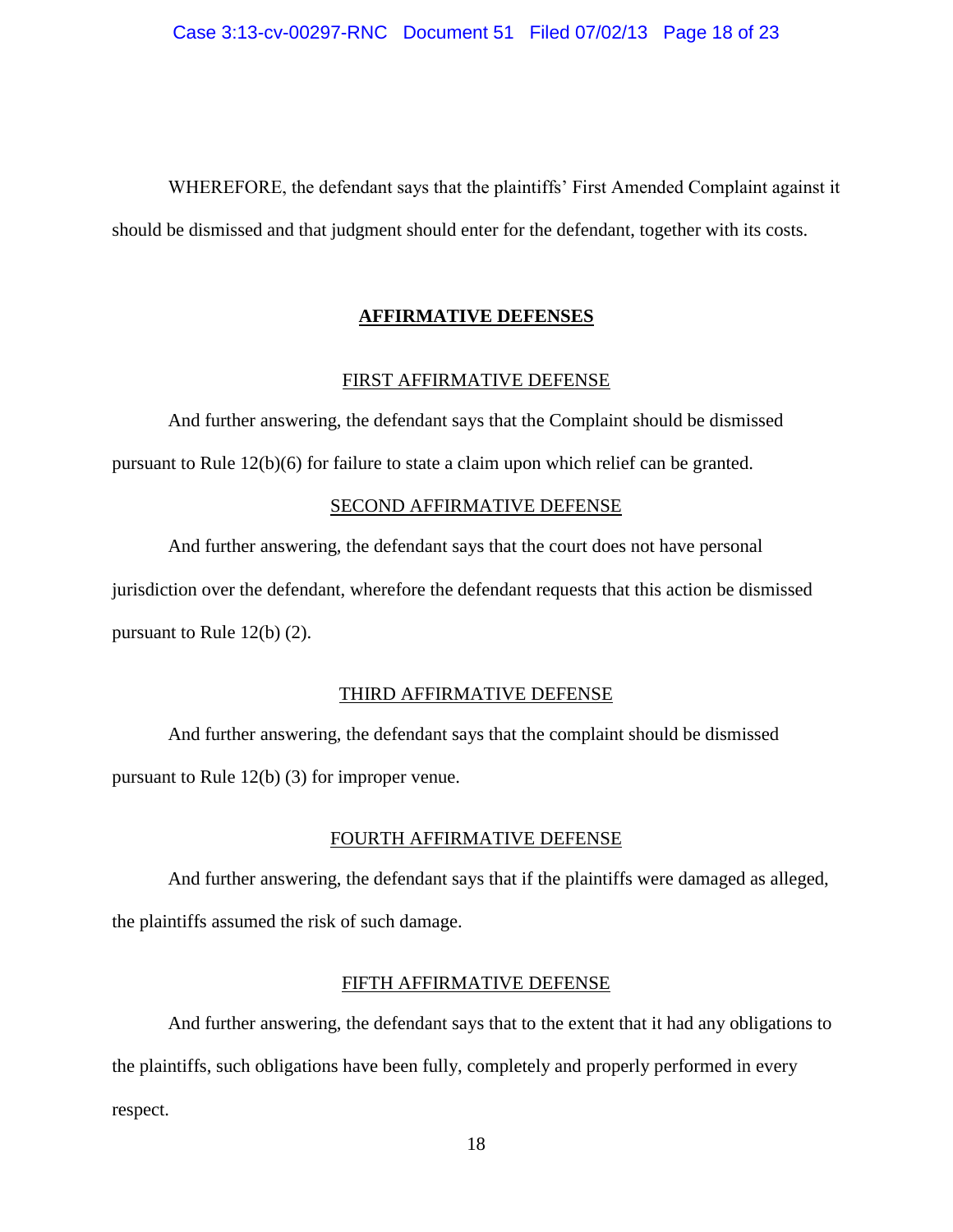WHEREFORE, the defendant says that the plaintiffs' First Amended Complaint against it should be dismissed and that judgment should enter for the defendant, together with its costs.

### **AFFIRMATIVE DEFENSES**

### FIRST AFFIRMATIVE DEFENSE

And further answering, the defendant says that the Complaint should be dismissed pursuant to Rule 12(b)(6) for failure to state a claim upon which relief can be granted.

#### SECOND AFFIRMATIVE DEFENSE

And further answering, the defendant says that the court does not have personal jurisdiction over the defendant, wherefore the defendant requests that this action be dismissed pursuant to Rule 12(b) (2).

### THIRD AFFIRMATIVE DEFENSE

And further answering, the defendant says that the complaint should be dismissed pursuant to Rule 12(b) (3) for improper venue.

### FOURTH AFFIRMATIVE DEFENSE

And further answering, the defendant says that if the plaintiffs were damaged as alleged, the plaintiffs assumed the risk of such damage.

### FIFTH AFFIRMATIVE DEFENSE

And further answering, the defendant says that to the extent that it had any obligations to the plaintiffs, such obligations have been fully, completely and properly performed in every respect.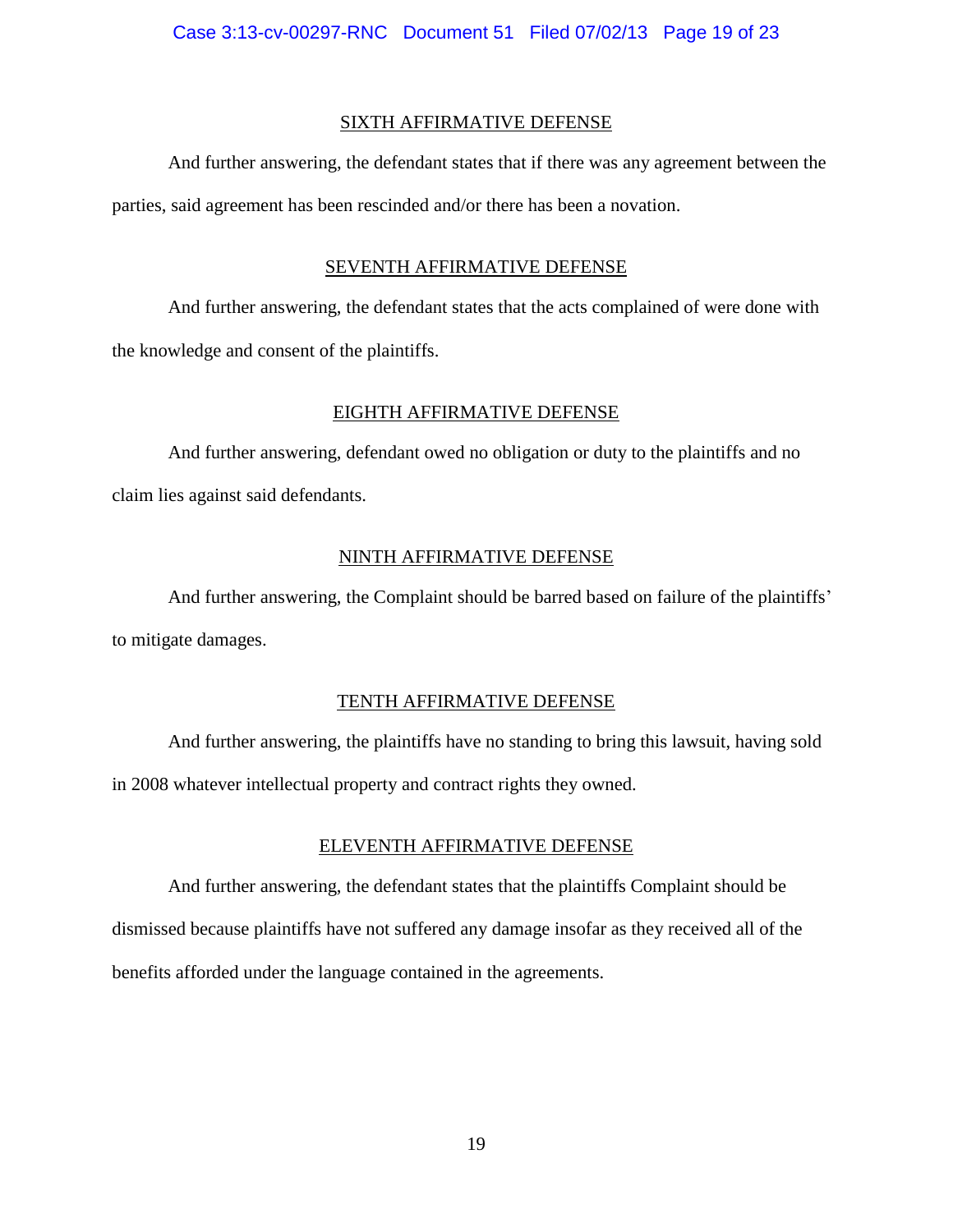### SIXTH AFFIRMATIVE DEFENSE

And further answering, the defendant states that if there was any agreement between the parties, said agreement has been rescinded and/or there has been a novation.

## SEVENTH AFFIRMATIVE DEFENSE

And further answering, the defendant states that the acts complained of were done with the knowledge and consent of the plaintiffs.

### EIGHTH AFFIRMATIVE DEFENSE

And further answering, defendant owed no obligation or duty to the plaintiffs and no claim lies against said defendants.

## NINTH AFFIRMATIVE DEFENSE

And further answering, the Complaint should be barred based on failure of the plaintiffs' to mitigate damages.

### TENTH AFFIRMATIVE DEFENSE

And further answering, the plaintiffs have no standing to bring this lawsuit, having sold in 2008 whatever intellectual property and contract rights they owned.

### ELEVENTH AFFIRMATIVE DEFENSE

And further answering, the defendant states that the plaintiffs Complaint should be dismissed because plaintiffs have not suffered any damage insofar as they received all of the benefits afforded under the language contained in the agreements.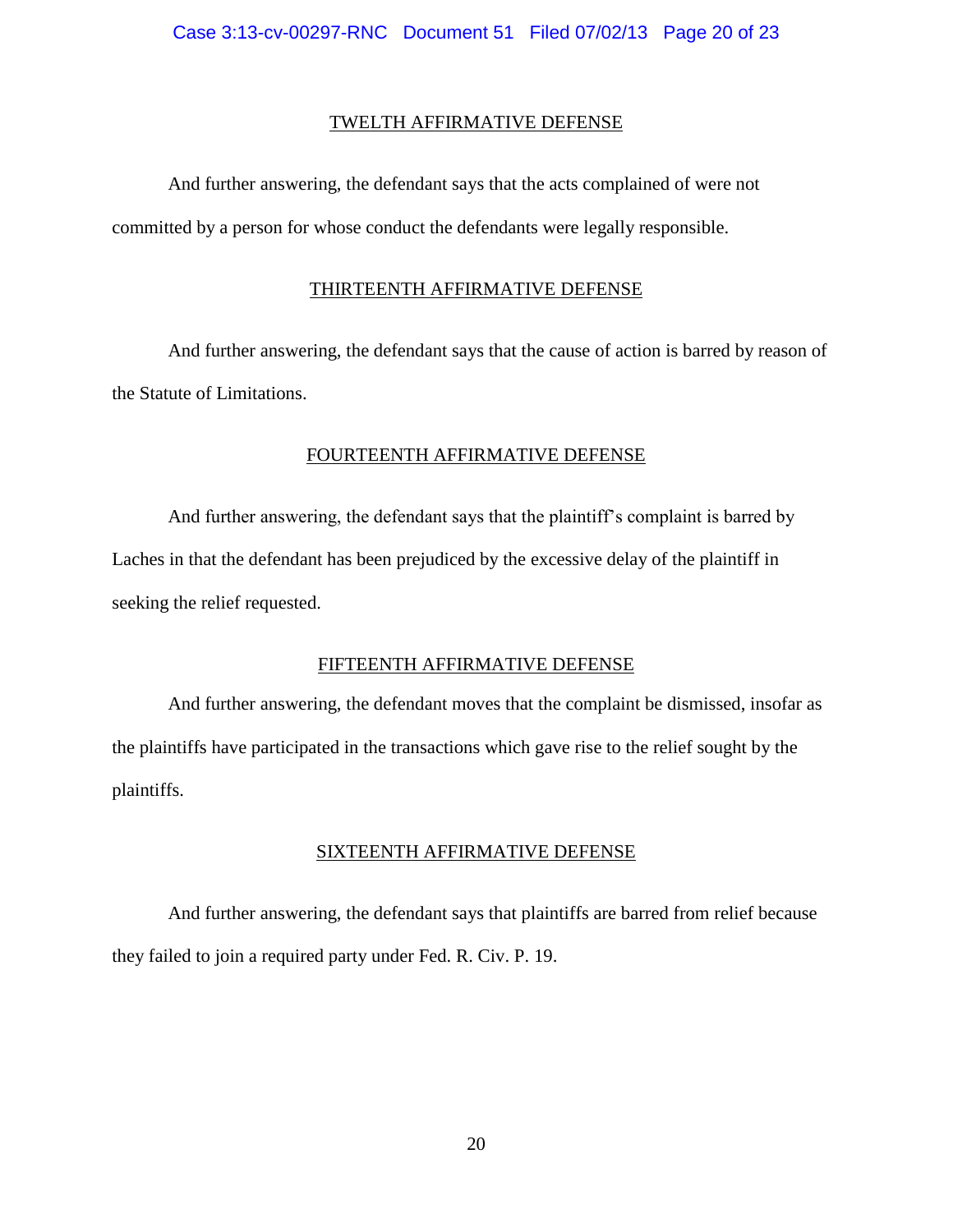### TWELTH AFFIRMATIVE DEFENSE

And further answering, the defendant says that the acts complained of were not committed by a person for whose conduct the defendants were legally responsible.

### THIRTEENTH AFFIRMATIVE DEFENSE

And further answering, the defendant says that the cause of action is barred by reason of the Statute of Limitations.

## FOURTEENTH AFFIRMATIVE DEFENSE

And further answering, the defendant says that the plaintiff's complaint is barred by Laches in that the defendant has been prejudiced by the excessive delay of the plaintiff in seeking the relief requested.

### FIFTEENTH AFFIRMATIVE DEFENSE

And further answering, the defendant moves that the complaint be dismissed, insofar as the plaintiffs have participated in the transactions which gave rise to the relief sought by the plaintiffs.

### SIXTEENTH AFFIRMATIVE DEFENSE

And further answering, the defendant says that plaintiffs are barred from relief because they failed to join a required party under Fed. R. Civ. P. 19.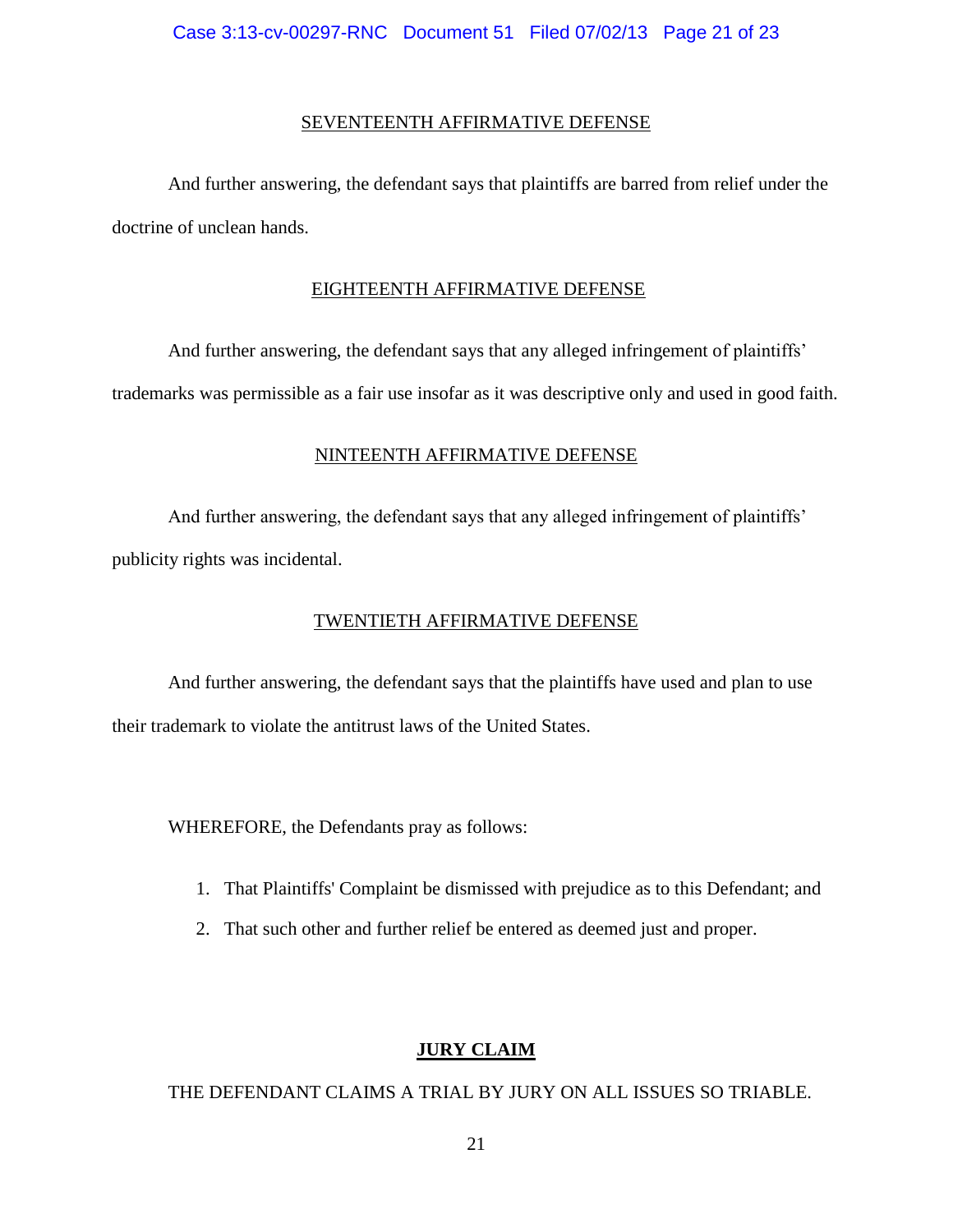### SEVENTEENTH AFFIRMATIVE DEFENSE

And further answering, the defendant says that plaintiffs are barred from relief under the doctrine of unclean hands.

### EIGHTEENTH AFFIRMATIVE DEFENSE

And further answering, the defendant says that any alleged infringement of plaintiffs' trademarks was permissible as a fair use insofar as it was descriptive only and used in good faith.

## NINTEENTH AFFIRMATIVE DEFENSE

And further answering, the defendant says that any alleged infringement of plaintiffs' publicity rights was incidental.

## TWENTIETH AFFIRMATIVE DEFENSE

And further answering, the defendant says that the plaintiffs have used and plan to use their trademark to violate the antitrust laws of the United States.

WHEREFORE, the Defendants pray as follows:

- 1. That Plaintiffs' Complaint be dismissed with prejudice as to this Defendant; and
- 2. That such other and further relief be entered as deemed just and proper.

## **JURY CLAIM**

### THE DEFENDANT CLAIMS A TRIAL BY JURY ON ALL ISSUES SO TRIABLE.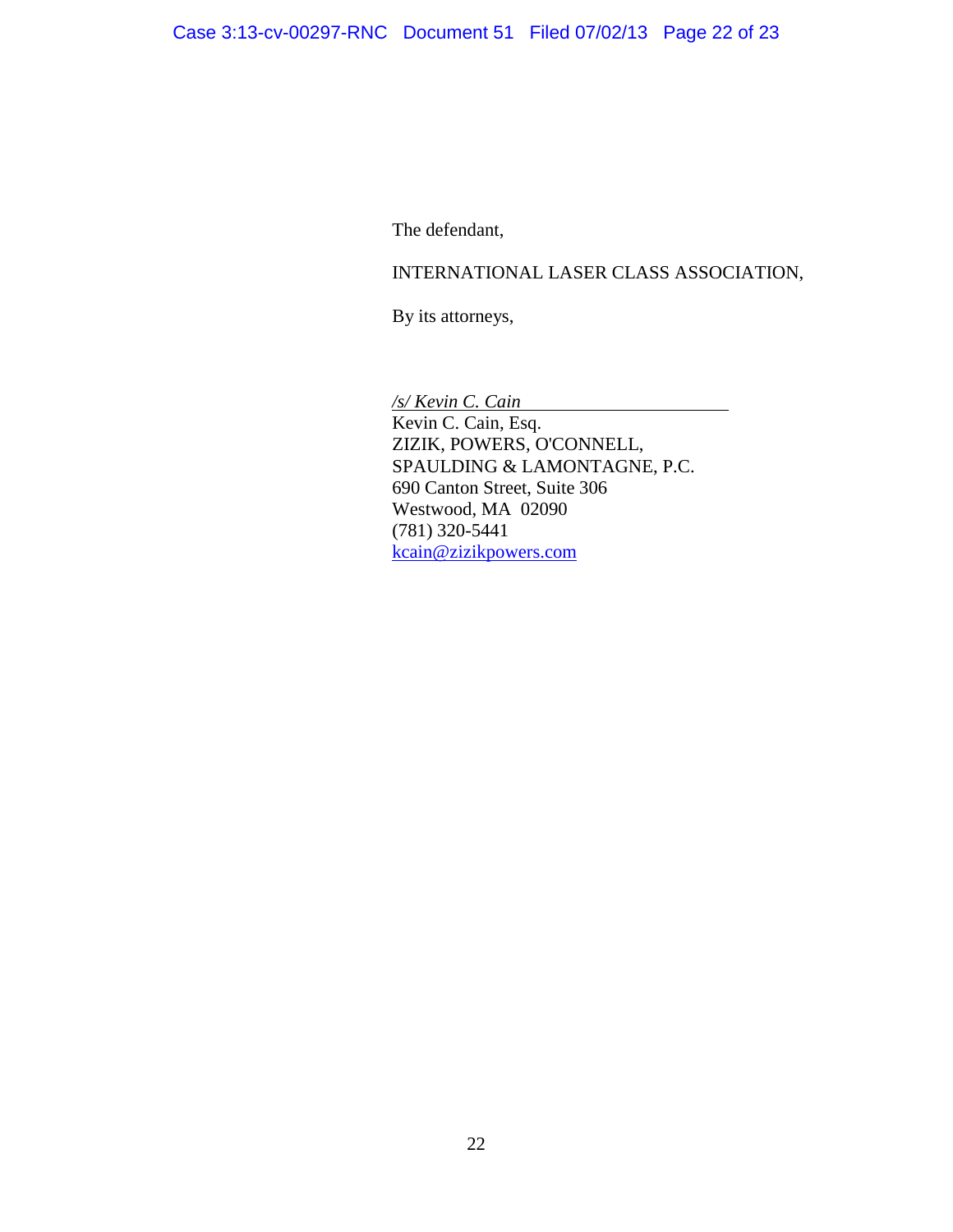The defendant,

# INTERNATIONAL LASER CLASS ASSOCIATION,

By its attorneys,

*/s/ Kevin C. Cain* Kevin C. Cain, Esq. ZIZIK, POWERS, O'CONNELL, SPAULDING & LAMONTAGNE, P.C. 690 Canton Street, Suite 306 Westwood, MA 02090 (781) 320-5441 [kcain@zizikpowers.com](mailto:kcain@zizikpowers.com)